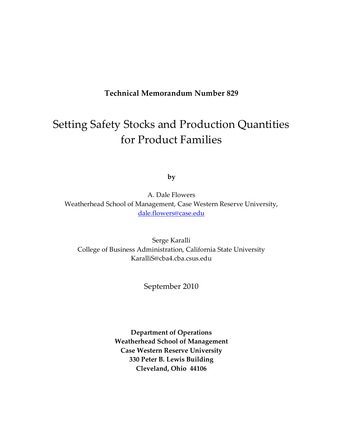#### **Technical Memorandum Number 829**

# Setting Safety Stocks and Production Quantities for Product Families

**by**

A. Dale Flowers Weatherhead School of Management, Case Western Reserve University, [dale.flowers@case.edu](mailto:dale.flowers@case.edu)

Serge Karalli College of Business Administration, California State University KaralliS@cba4.cba.csus.edu

September 2010

**Department of Operations Weatherhead School of Management Case Western Reserve University 330 Peter B. Lewis Building Cleveland, Ohio 44106**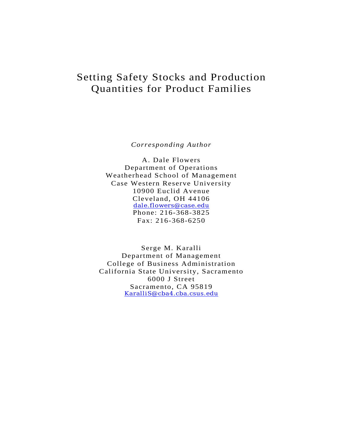## Setting Safety Stocks and Production Quantities for Product Families

*Corresponding Author* 

A. Dale Flowers Department of Operations Weatherhead School of Management Case Western Reserve University 10900 Euclid Avenue Cleveland, OH 44106 dale.flowers@case.edu Phone: 216-368-3825 Fax: 216-368-6250

Serge M. Karalli Department of Management College of Business Administration California State University, Sacramento 6000 J Street Sacramento, CA 95819 KaralliS@cba4.cba.csus.edu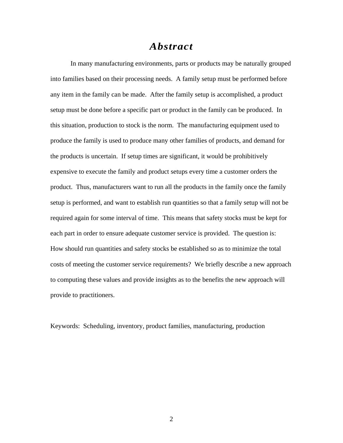#### *Abstract*

In many manufacturing environments, parts or products may be naturally grouped into families based on their processing needs. A family setup must be performed before any item in the family can be made. After the family setup is accomplished, a product setup must be done before a specific part or product in the family can be produced. In this situation, production to stock is the norm. The manufacturing equipment used to produce the family is used to produce many other families of products, and demand for the products is uncertain. If setup times are significant, it would be prohibitively expensive to execute the family and product setups every time a customer orders the product. Thus, manufacturers want to run all the products in the family once the family setup is performed, and want to establish run quantities so that a family setup will not be required again for some interval of time. This means that safety stocks must be kept for each part in order to ensure adequate customer service is provided. The question is: How should run quantities and safety stocks be established so as to minimize the total costs of meeting the customer service requirements? We briefly describe a new approach to computing these values and provide insights as to the benefits the new approach will provide to practitioners.

Keywords: Scheduling, inventory, product families, manufacturing, production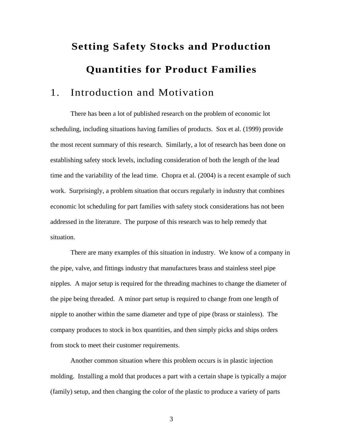# **Setting Safety Stocks and Production Quantities for Product Families**

## 1. Introduction and Motivation

There has been a lot of published research on the problem of economic lot scheduling, including situations having families of products. Sox et al. (1999) provide the most recent summary of this research. Similarly, a lot of research has been done on establishing safety stock levels, including consideration of both the length of the lead time and the variability of the lead time. Chopra et al. (2004) is a recent example of such work. Surprisingly, a problem situation that occurs regularly in industry that combines economic lot scheduling for part families with safety stock considerations has not been addressed in the literature. The purpose of this research was to help remedy that situation.

 There are many examples of this situation in industry. We know of a company in the pipe, valve, and fittings industry that manufactures brass and stainless steel pipe nipples. A major setup is required for the threading machines to change the diameter of the pipe being threaded. A minor part setup is required to change from one length of nipple to another within the same diameter and type of pipe (brass or stainless). The company produces to stock in box quantities, and then simply picks and ships orders from stock to meet their customer requirements.

 Another common situation where this problem occurs is in plastic injection molding. Installing a mold that produces a part with a certain shape is typically a major (family) setup, and then changing the color of the plastic to produce a variety of parts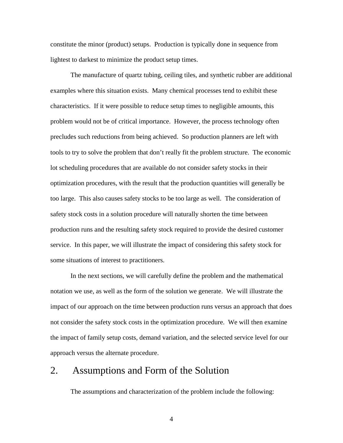constitute the minor (product) setups. Production is typically done in sequence from lightest to darkest to minimize the product setup times.

 The manufacture of quartz tubing, ceiling tiles, and synthetic rubber are additional examples where this situation exists. Many chemical processes tend to exhibit these characteristics. If it were possible to reduce setup times to negligible amounts, this problem would not be of critical importance. However, the process technology often precludes such reductions from being achieved. So production planners are left with tools to try to solve the problem that don't really fit the problem structure. The economic lot scheduling procedures that are available do not consider safety stocks in their optimization procedures, with the result that the production quantities will generally be too large. This also causes safety stocks to be too large as well. The consideration of safety stock costs in a solution procedure will naturally shorten the time between production runs and the resulting safety stock required to provide the desired customer service. In this paper, we will illustrate the impact of considering this safety stock for some situations of interest to practitioners.

 In the next sections, we will carefully define the problem and the mathematical notation we use, as well as the form of the solution we generate. We will illustrate the impact of our approach on the time between production runs versus an approach that does not consider the safety stock costs in the optimization procedure. We will then examine the impact of family setup costs, demand variation, and the selected service level for our approach versus the alternate procedure.

#### 2. Assumptions and Form of the Solution

The assumptions and characterization of the problem include the following: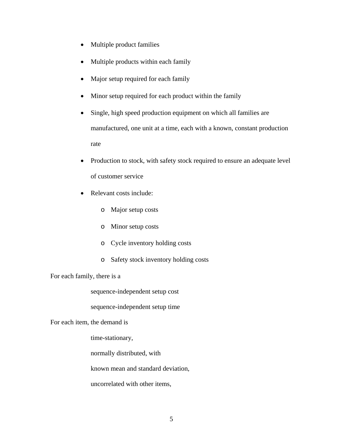- Multiple product families
- Multiple products within each family
- Major setup required for each family
- Minor setup required for each product within the family
- Single, high speed production equipment on which all families are manufactured, one unit at a time, each with a known, constant production rate
- Production to stock, with safety stock required to ensure an adequate level of customer service
- Relevant costs include:
	- o Major setup costs
	- o Minor setup costs
	- o Cycle inventory holding costs
	- o Safety stock inventory holding costs

#### For each family, there is a

sequence-independent setup cost

sequence-independent setup time

For each item, the demand is

time-stationary,

normally distributed, with

known mean and standard deviation,

uncorrelated with other items,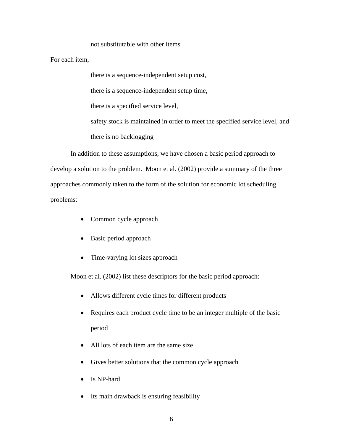#### not substitutable with other items

For each item,

there is a sequence-independent setup cost, there is a sequence-independent setup time, there is a specified service level, safety stock is maintained in order to meet the specified service level, and there is no backlogging

In addition to these assumptions, we have chosen a basic period approach to develop a solution to the problem. Moon et al. (2002) provide a summary of the three approaches commonly taken to the form of the solution for economic lot scheduling problems:

- Common cycle approach
- Basic period approach
- Time-varying lot sizes approach

Moon et al. (2002) list these descriptors for the basic period approach:

- Allows different cycle times for different products
- Requires each product cycle time to be an integer multiple of the basic period
- All lots of each item are the same size
- Gives better solutions that the common cycle approach
- Is NP-hard
- Its main drawback is ensuring feasibility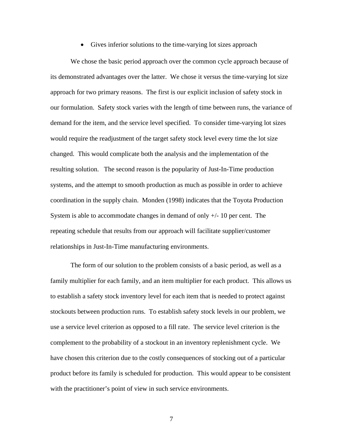Gives inferior solutions to the time-varying lot sizes approach

We chose the basic period approach over the common cycle approach because of its demonstrated advantages over the latter. We chose it versus the time-varying lot size approach for two primary reasons. The first is our explicit inclusion of safety stock in our formulation. Safety stock varies with the length of time between runs, the variance of demand for the item, and the service level specified. To consider time-varying lot sizes would require the readjustment of the target safety stock level every time the lot size changed. This would complicate both the analysis and the implementation of the resulting solution. The second reason is the popularity of Just-In-Time production systems, and the attempt to smooth production as much as possible in order to achieve coordination in the supply chain. Monden (1998) indicates that the Toyota Production System is able to accommodate changes in demand of only  $+/$ - 10 per cent. The repeating schedule that results from our approach will facilitate supplier/customer relationships in Just-In-Time manufacturing environments.

The form of our solution to the problem consists of a basic period, as well as a family multiplier for each family, and an item multiplier for each product. This allows us to establish a safety stock inventory level for each item that is needed to protect against stockouts between production runs. To establish safety stock levels in our problem, we use a service level criterion as opposed to a fill rate. The service level criterion is the complement to the probability of a stockout in an inventory replenishment cycle. We have chosen this criterion due to the costly consequences of stocking out of a particular product before its family is scheduled for production. This would appear to be consistent with the practitioner's point of view in such service environments.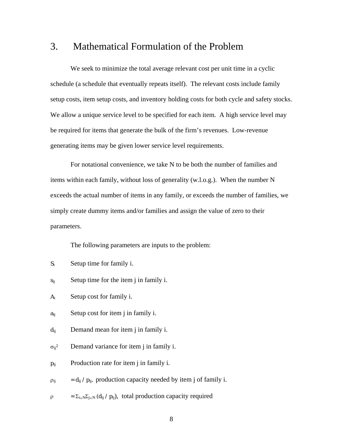### 3. Mathematical Formulation of the Problem

We seek to minimize the total average relevant cost per unit time in a cyclic schedule (a schedule that eventually repeats itself). The relevant costs include family setup costs, item setup costs, and inventory holding costs for both cycle and safety stocks. We allow a unique service level to be specified for each item. A high service level may be required for items that generate the bulk of the firm's revenues. Low-revenue generating items may be given lower service level requirements.

For notational convenience, we take N to be both the number of families and items within each family, without loss of generality (w.l.o.g.). When the number N exceeds the actual number of items in any family, or exceeds the number of families, we simply create dummy items and/or families and assign the value of zero to their parameters.

The following parameters are inputs to the problem:

- $S_i$  Setup time for family i.
- $s_{ii}$  Setup time for the item j in family i.
- Ai Setup cost for family i.
- $a_{ij}$  Setup cost for item j in family i.
- $d_{ij}$  Demand mean for item j in family i.
- $\sigma_{ij}^2$  Demand variance for item j in family i.
- $p_{ij}$  Production rate for item j in family i.
- $\rho_{ij}$  = d<sub>ij</sub> /  $p_{ij}$ , production capacity needed by item j of family i.
- $\rho = \sum_{i \in N} \sum_{j \in N} (d_{ij} / p_{ij}),$  total production capacity required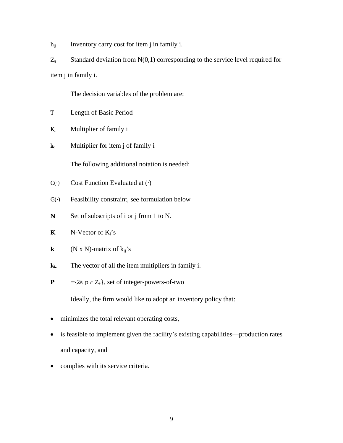$h_{ij}$  Inventory carry cost for item j in family i.

 $Z_{ij}$  Standard deviation from N(0,1) corresponding to the service level required for item j in family i.

The decision variables of the problem are:

- T Length of Basic Period
- Ki Multiplier of family i
- $k_{ij}$  Multiplier for item j of family i

The following additional notation is needed:

- $C(\cdot)$  Cost Function Evaluated at  $(\cdot)$
- G(·) Feasibility constraint, see formulation below
- N Set of subscripts of i or j from 1 to N.
- **K**  $N-Vector of  $K_i$ 's$
- **k**  $(N \times N)$ -matrix of  $k_{ii}$ 's
- $\mathbf{k}_i$ . The vector of all the item multipliers in family i.
- **P**  $=\{2^p: p \in Z_+\}$ , set of integer-powers-of-two

Ideally, the firm would like to adopt an inventory policy that:

- minimizes the total relevant operating costs,
- is feasible to implement given the facility's existing capabilities—production rates and capacity, and
- complies with its service criteria.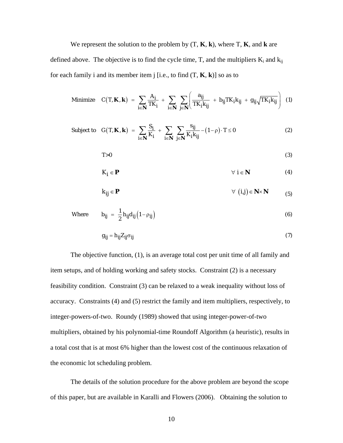We represent the solution to the problem by (T, **K**, **k**), where T, **K**, and **k** are defined above. The objective is to find the cycle time, T, and the multipliers  $K_i$  and  $k_{ij}$ for each family i and its member item j [i.e., to find (T, **K**, **k**)] so as to

Minimize 
$$
C(T, \mathbf{K}, \mathbf{k}) = \sum_{i \in \mathbf{N}} \frac{A_i}{TK_i} + \sum_{i \in \mathbf{N}} \sum_{j \in \mathbf{N}} \left( \frac{a_{ij}}{TK_i k_{ij}} + b_{ij}TK_i k_{ij} + g_{ij} \sqrt{TK_i k_{ij}} \right)
$$
 (1)

Subject to 
$$
G(T, \mathbf{K}, \mathbf{k}) = \sum_{i \in \mathbf{N}} \frac{S_i}{K_i} + \sum_{i \in \mathbf{N}} \sum_{j \in \mathbf{N}} \frac{s_{ij}}{K_i k_{ij}} - (1 - \rho) \cdot T \le 0
$$
 (2)

$$
T>0
$$
 (3)

$$
K_{i} \in \mathbf{P} \qquad \qquad \forall i \in \mathbf{N} \qquad \qquad (4)
$$

$$
k_{ij} \in \mathbf{P} \qquad \qquad \forall \ (i,j) \in \mathbf{N} \times \mathbf{N} \qquad (5)
$$

Where 
$$
b_{ij} = \frac{1}{2} h_{ij} d_{ij} (1 - \rho_{ij})
$$
 (6)

$$
g_{ij} = h_{ij} Z_{ij} \sigma_{ij} \tag{7}
$$

The objective function, (1), is an average total cost per unit time of all family and item setups, and of holding working and safety stocks. Constraint (2) is a necessary feasibility condition. Constraint (3) can be relaxed to a weak inequality without loss of accuracy. Constraints (4) and (5) restrict the family and item multipliers, respectively, to integer-powers-of-two. Roundy (1989) showed that using integer-power-of-two multipliers, obtained by his polynomial-time Roundoff Algorithm (a heuristic), results in a total cost that is at most 6% higher than the lowest cost of the continuous relaxation of the economic lot scheduling problem.

The details of the solution procedure for the above problem are beyond the scope of this paper, but are available in Karalli and Flowers (2006). Obtaining the solution to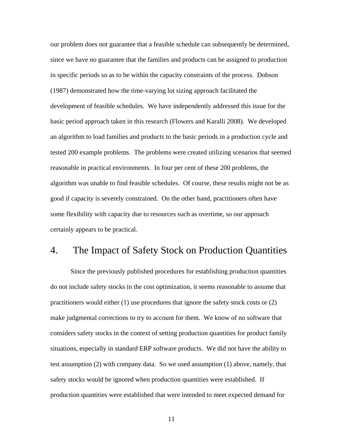our problem does not guarantee that a feasible schedule can subsequently be determined, since we have no guarantee that the families and products can be assigned to production in specific periods so as to be within the capacity constraints of the process. Dobson (1987) demonstrated how the time-varying lot sizing approach facilitated the development of feasible schedules. We have independently addressed this issue for the basic period approach taken in this research (Flowers and Karalli 2008). We developed an algorithm to load families and products to the basic periods in a production cycle and tested 200 example problems. The problems were created utilizing scenarios that seemed reasonable in practical environments. In four per cent of these 200 problems, the algorithm was unable to find feasible schedules. Of course, these results might not be as good if capacity is severely constrained. On the other hand, practitioners often have some flexibility with capacity due to resources such as overtime, so our approach certainly appears to be practical.

#### 4. The Impact of Safety Stock on Production Quantities

Since the previously published procedures for establishing production quantities do not include safety stocks in the cost optimization, it seems reasonable to assume that practitioners would either (1) use procedures that ignore the safety stock costs or (2) make judgmental corrections to try to account for them. We know of no software that considers safety stocks in the context of setting production quantities for product family situations, especially in standard ERP software products. We did not have the ability to test assumption (2) with company data. So we used assumption (1) above, namely, that safety stocks would be ignored when production quantities were established. If production quantities were established that were intended to meet expected demand for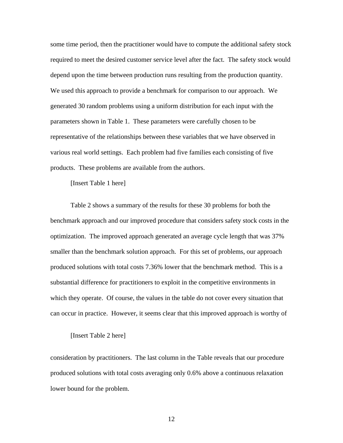some time period, then the practitioner would have to compute the additional safety stock required to meet the desired customer service level after the fact. The safety stock would depend upon the time between production runs resulting from the production quantity. We used this approach to provide a benchmark for comparison to our approach. We generated 30 random problems using a uniform distribution for each input with the parameters shown in Table 1. These parameters were carefully chosen to be representative of the relationships between these variables that we have observed in various real world settings. Each problem had five families each consisting of five products. These problems are available from the authors.

[Insert Table 1 here]

Table 2 shows a summary of the results for these 30 problems for both the benchmark approach and our improved procedure that considers safety stock costs in the optimization. The improved approach generated an average cycle length that was 37% smaller than the benchmark solution approach. For this set of problems, our approach produced solutions with total costs 7.36% lower that the benchmark method. This is a substantial difference for practitioners to exploit in the competitive environments in which they operate. Of course, the values in the table do not cover every situation that can occur in practice. However, it seems clear that this improved approach is worthy of

#### [Insert Table 2 here]

consideration by practitioners. The last column in the Table reveals that our procedure produced solutions with total costs averaging only 0.6% above a continuous relaxation lower bound for the problem.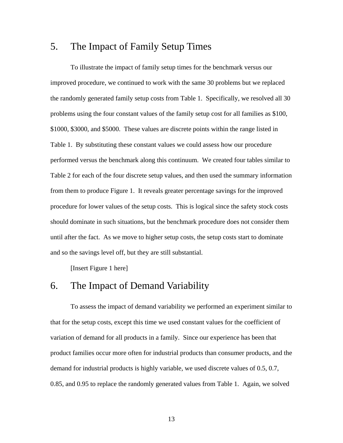#### 5. The Impact of Family Setup Times

 To illustrate the impact of family setup times for the benchmark versus our improved procedure, we continued to work with the same 30 problems but we replaced the randomly generated family setup costs from Table 1. Specifically, we resolved all 30 problems using the four constant values of the family setup cost for all families as \$100, \$1000, \$3000, and \$5000. These values are discrete points within the range listed in Table 1. By substituting these constant values we could assess how our procedure performed versus the benchmark along this continuum. We created four tables similar to Table 2 for each of the four discrete setup values, and then used the summary information from them to produce Figure 1. It reveals greater percentage savings for the improved procedure for lower values of the setup costs. This is logical since the safety stock costs should dominate in such situations, but the benchmark procedure does not consider them until after the fact. As we move to higher setup costs, the setup costs start to dominate and so the savings level off, but they are still substantial.

[Insert Figure 1 here]

#### 6. The Impact of Demand Variability

To assess the impact of demand variability we performed an experiment similar to that for the setup costs, except this time we used constant values for the coefficient of variation of demand for all products in a family. Since our experience has been that product families occur more often for industrial products than consumer products, and the demand for industrial products is highly variable, we used discrete values of 0.5, 0.7, 0.85, and 0.95 to replace the randomly generated values from Table 1. Again, we solved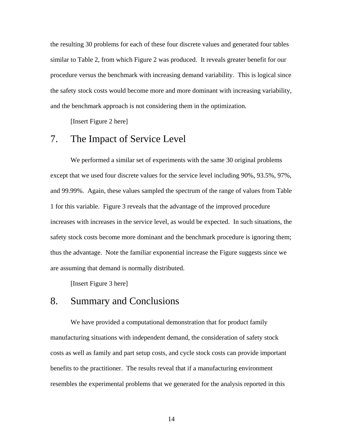the resulting 30 problems for each of these four discrete values and generated four tables similar to Table 2, from which Figure 2 was produced. It reveals greater benefit for our procedure versus the benchmark with increasing demand variability. This is logical since the safety stock costs would become more and more dominant with increasing variability, and the benchmark approach is not considering them in the optimization.

[Insert Figure 2 here]

#### 7. The Impact of Service Level

We performed a similar set of experiments with the same 30 original problems except that we used four discrete values for the service level including 90%, 93.5%, 97%, and 99.99%. Again, these values sampled the spectrum of the range of values from Table 1 for this variable. Figure 3 reveals that the advantage of the improved procedure increases with increases in the service level, as would be expected. In such situations, the safety stock costs become more dominant and the benchmark procedure is ignoring them; thus the advantage. Note the familiar exponential increase the Figure suggests since we are assuming that demand is normally distributed.

[Insert Figure 3 here]

#### 8. Summary and Conclusions

We have provided a computational demonstration that for product family manufacturing situations with independent demand, the consideration of safety stock costs as well as family and part setup costs, and cycle stock costs can provide important benefits to the practitioner. The results reveal that if a manufacturing environment resembles the experimental problems that we generated for the analysis reported in this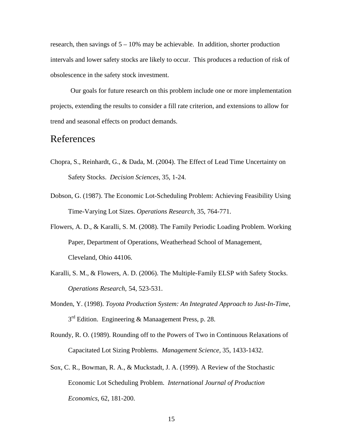research, then savings of  $5 - 10\%$  may be achievable. In addition, shorter production intervals and lower safety stocks are likely to occur. This produces a reduction of risk of obsolescence in the safety stock investment.

 Our goals for future research on this problem include one or more implementation projects, extending the results to consider a fill rate criterion, and extensions to allow for trend and seasonal effects on product demands.

#### References

- Chopra, S., Reinhardt, G., & Dada, M. (2004). The Effect of Lead Time Uncertainty on Safety Stocks. *Decision Sciences,* 35, 1-24.
- Dobson, G. (1987). The Economic Lot-Scheduling Problem: Achieving Feasibility Using Time-Varying Lot Sizes. *Operations Research*, 35, 764-771.
- Flowers, A. D., & Karalli, S. M. (2008). The Family Periodic Loading Problem. Working Paper, Department of Operations, Weatherhead School of Management, Cleveland, Ohio 44106.
- Karalli, S. M., & Flowers, A. D. (2006). The Multiple-Family ELSP with Safety Stocks. *Operations Research,* 54, 523-531.
- Monden, Y. (1998). *Toyota Production System: An Integrated Approach to Just-In-Time*,  $3<sup>rd</sup>$  Edition. Engineering & Manaagement Press, p. 28.
- Roundy, R. O. (1989). Rounding off to the Powers of Two in Continuous Relaxations of Capacitated Lot Sizing Problems. *Management Science,* 35, 1433-1432.
- Sox, C. R., Bowman, R. A., & Muckstadt, J. A. (1999). A Review of the Stochastic Economic Lot Scheduling Problem. *International Journal of Production Economics*, 62, 181-200.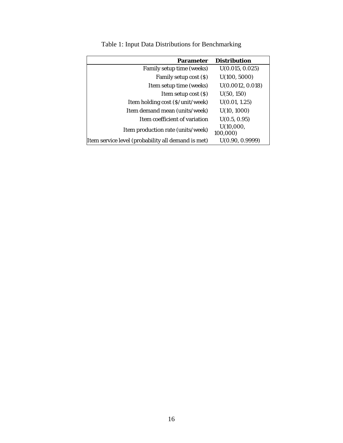| <b>Parameter</b>                                   | <b>Distribution</b> |
|----------------------------------------------------|---------------------|
| Family setup time (weeks)                          | U(0.015, 0.025)     |
| Family setup cost (\$)                             | U(100, 5000)        |
| Item setup time (weeks)                            | U(0.0012, 0.018)    |
| Item setup cost $(S)$                              | U(50, 150)          |
| Item holding cost (\$/unit/week)                   | U(0.01, 1.25)       |
| Item demand mean (units/week)                      | U(10, 1000)         |
| Item coefficient of variation                      | U(0.5, 0.95)        |
| Item production rate (units/week)                  | U(10,000,           |
|                                                    | 100,000)            |
| Item service level (probability all demand is met) | U(0.90, 0.9999)     |

Table 1: Input Data Distributions for Benchmarking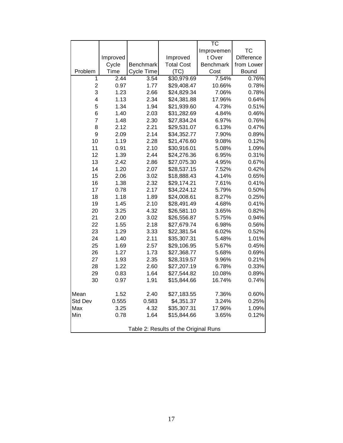|                                       |          |            |                   | $\overline{\text{TC}}$ |                   |  |
|---------------------------------------|----------|------------|-------------------|------------------------|-------------------|--|
|                                       |          |            |                   | Improvemen             | <b>TC</b>         |  |
|                                       | Improved |            | Improved          | t Over                 | <b>Difference</b> |  |
|                                       | Cycle    | Benchmark  | <b>Total Cost</b> | <b>Benchmark</b>       | from Lower        |  |
| Problem                               | Time     | Cycle Time | (TC)              | Cost                   | Bound             |  |
| 1                                     | 2.44     | 3.54       | \$30,979.69       | 7.54%                  | 0.76%             |  |
| $\overline{2}$                        | 0.97     | 1.77       | \$29,408.47       | 10.66%                 | 0.78%             |  |
| 3                                     | 1.23     | 2.66       | \$24,829.34       | 7.06%                  | 0.78%             |  |
| 4                                     | 1.13     | 2.34       | \$24,381.88       | 17.96%                 | 0.64%             |  |
| 5                                     | 1.34     | 1.94       | \$21,939.60       | 4.73%                  | 0.51%             |  |
| 6                                     | 1.40     | 2.03       | \$31,282.69       | 4.84%                  | 0.46%             |  |
| $\overline{7}$                        | 1.48     | 2.30       | \$27,834.24       | 6.97%                  | 0.76%             |  |
| 8                                     | 2.12     | 2.21       | \$29,531.07       | 6.13%                  | 0.47%             |  |
| 9                                     | 2.09     | 2.14       | \$34,352.77       | 7.90%                  | 0.89%             |  |
| 10                                    | 1.19     | 2.28       | \$21,476.60       | 9.08%                  | 0.12%             |  |
| 11                                    | 0.91     | 2.10       | \$30,916.01       | 5.08%                  | 1.09%             |  |
| 12                                    | 1.39     | 2.44       | \$24,276.36       | 6.95%                  | 0.31%             |  |
| 13                                    | 2.42     | 2.86       | \$27,075.30       | 4.95%                  | 0.67%             |  |
| 14                                    | 1.20     | 2.07       | \$28,537.15       | 7.52%                  | 0.42%             |  |
| 15                                    | 2.06     | 3.02       | \$18,888.43       | 4.14%                  | 0.65%             |  |
| 16                                    | 1.38     | 2.32       | \$29,174.21       | 7.61%                  | 0.41%             |  |
| 17                                    | 0.78     | 2.17       | \$34,224.12       | 5.79%                  | 0.50%             |  |
| 18                                    | 1.18     | 1.89       | \$24,008.61       | 8.27%                  | 0.25%             |  |
| 19                                    | 1.45     | 2.10       | \$28,491.49       | 4.68%                  | 0.41%             |  |
| 20                                    | 3.25     | 4.32       | \$26,581.10       | 3.65%                  | 0.82%             |  |
| 21                                    | 2.00     | 3.02       | \$26,556.87       | 5.75%                  | 0.94%             |  |
| 22                                    | 1.55     | 2.18       | \$27,679.74       | 6.98%                  | 0.56%             |  |
| 23                                    | 1.29     | 3.33       | \$22,381.54       | 6.02%                  | 0.52%             |  |
| 24                                    | 1.40     | 2.11       | \$35,307.31       | 5.48%                  | 1.01%             |  |
| 25                                    | 1.69     | 2.57       | \$29,106.95       | 5.67%                  | 0.45%             |  |
| 26                                    | 1.27     | 1.73       | \$27,368.77       | 5.68%                  | 0.69%             |  |
| 27                                    | 1.93     | 2.35       | \$28,319.57       | 9.96%                  | 0.21%             |  |
| 28                                    | 1.22     | 2.60       | \$27,207.19       | 6.78%                  | 0.33%             |  |
| 29                                    | 0.83     | 1.64       | \$27,544.82       | 10.08%                 | 0.89%             |  |
| 30                                    | 0.97     | 1.91       | \$15,844.66       | 16.74%                 | 0.74%             |  |
| Mean                                  | 1.52     | 2.40       | \$27,183.55       | 7.36%                  | 0.60%             |  |
| Std Dev                               | 0.555    | 0.583      | \$4,351.37        | 3.24%                  | 0.25%             |  |
| Max                                   | 3.25     | 4.32       | \$35,307.31       | 17.96%                 | 1.09%             |  |
| Min                                   | 0.78     | 1.64       | \$15,844.66       | 3.65%                  | 0.12%             |  |
| Table 2: Results of the Original Runs |          |            |                   |                        |                   |  |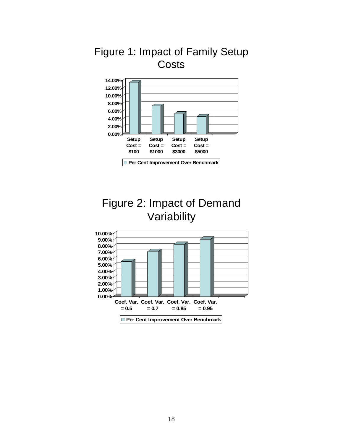

## Figure 1: Impact of Family Setup **Costs**

## Figure 2: Impact of Demand Variability